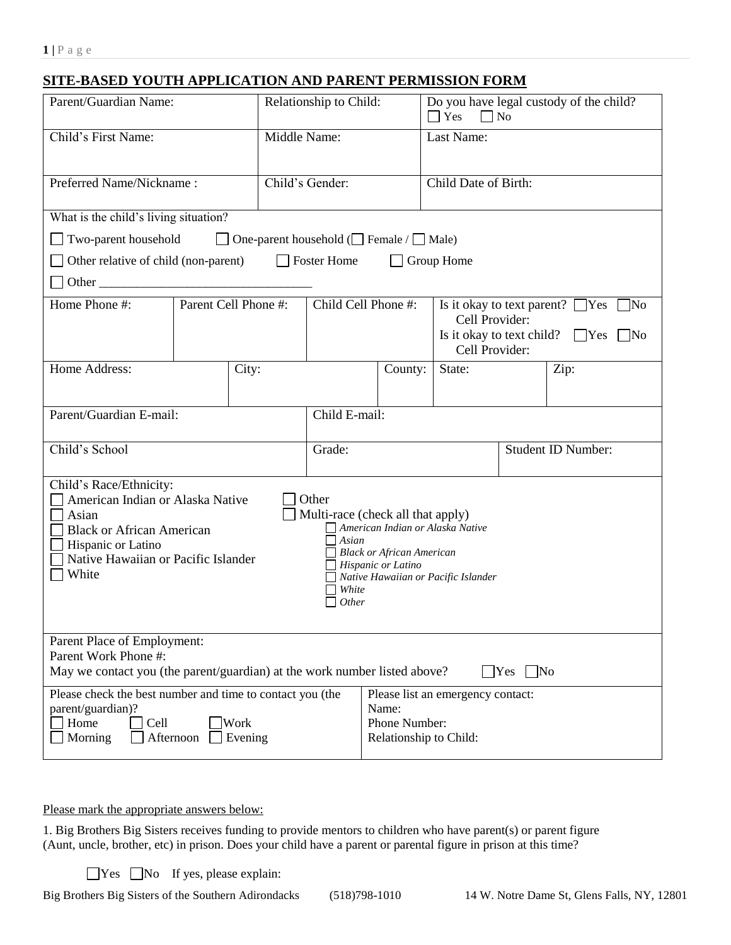## **SITE-BASED YOUTH APPLICATION AND PARENT PERMISSION FORM**

| Parent/Guardian Name:                                                                                                                                                                                                                                                                                                                                                                                      |  |       | Relationship to Child:                                                                                                                   |                                                                                       | Do you have legal custody of the child?<br>$\Box$ Yes<br>$\Box$ No |                    |      |  |
|------------------------------------------------------------------------------------------------------------------------------------------------------------------------------------------------------------------------------------------------------------------------------------------------------------------------------------------------------------------------------------------------------------|--|-------|------------------------------------------------------------------------------------------------------------------------------------------|---------------------------------------------------------------------------------------|--------------------------------------------------------------------|--------------------|------|--|
| Child's First Name:                                                                                                                                                                                                                                                                                                                                                                                        |  |       | Middle Name:                                                                                                                             |                                                                                       | Last Name:                                                         |                    |      |  |
| Preferred Name/Nickname:                                                                                                                                                                                                                                                                                                                                                                                   |  |       | Child's Gender:                                                                                                                          |                                                                                       | Child Date of Birth:                                               |                    |      |  |
| What is the child's living situation?                                                                                                                                                                                                                                                                                                                                                                      |  |       |                                                                                                                                          |                                                                                       |                                                                    |                    |      |  |
| Two-parent household<br>$\Box$ One-parent household ( $\Box$ Female / $\Box$ Male)                                                                                                                                                                                                                                                                                                                         |  |       |                                                                                                                                          |                                                                                       |                                                                    |                    |      |  |
| Foster Home<br>Other relative of child (non-parent)<br>Group Home                                                                                                                                                                                                                                                                                                                                          |  |       |                                                                                                                                          |                                                                                       |                                                                    |                    |      |  |
| Other                                                                                                                                                                                                                                                                                                                                                                                                      |  |       |                                                                                                                                          |                                                                                       |                                                                    |                    |      |  |
| Parent Cell Phone #:<br>Home Phone #:                                                                                                                                                                                                                                                                                                                                                                      |  |       | Child Cell Phone #:<br>Is it okay to text parent? $\Box$ Yes<br>Cell Provider:<br>Is it okay to text child? $\Box$ Yes<br>Cell Provider: |                                                                                       |                                                                    | No<br>$\mid$ No    |      |  |
| Home Address:                                                                                                                                                                                                                                                                                                                                                                                              |  | City: |                                                                                                                                          |                                                                                       | State:<br>County:                                                  |                    | Zip: |  |
| Parent/Guardian E-mail:                                                                                                                                                                                                                                                                                                                                                                                    |  |       | Child E-mail:                                                                                                                            |                                                                                       |                                                                    |                    |      |  |
| Child's School                                                                                                                                                                                                                                                                                                                                                                                             |  |       | Grade:                                                                                                                                   |                                                                                       |                                                                    | Student ID Number: |      |  |
| Child's Race/Ethnicity:<br>American Indian or Alaska Native<br>Other<br>Multi-race (check all that apply)<br>Asian<br>American Indian or Alaska Native<br><b>Black or African American</b><br>Asian<br>Hispanic or Latino<br><b>Black or African American</b><br>Native Hawaiian or Pacific Islander<br>$\Box$ Hispanic or Latino<br>White<br>Native Hawaiian or Pacific Islander<br>White<br><i>Other</i> |  |       |                                                                                                                                          |                                                                                       |                                                                    |                    |      |  |
| Parent Place of Employment:<br>Parent Work Phone #:<br>May we contact you (the parent/guardian) at the work number listed above?<br>$Yes$ No                                                                                                                                                                                                                                                               |  |       |                                                                                                                                          |                                                                                       |                                                                    |                    |      |  |
| Please check the best number and time to contact you (the<br>parent/guardian)?<br>Home<br>Cell<br><b>Work</b><br>Morning<br>Afternoon<br>Evening                                                                                                                                                                                                                                                           |  |       |                                                                                                                                          | Please list an emergency contact:<br>Name:<br>Phone Number:<br>Relationship to Child: |                                                                    |                    |      |  |

Please mark the appropriate answers below:

1. Big Brothers Big Sisters receives funding to provide mentors to children who have parent(s) or parent figure (Aunt, uncle, brother, etc) in prison. Does your child have a parent or parental figure in prison at this time?

 $\Box$  Yes  $\Box$  No If yes, please explain:

Big Brothers Big Sisters of the Southern Adirondacks (518)798-1010 14 W. Notre Dame St, Glens Falls, NY, 12801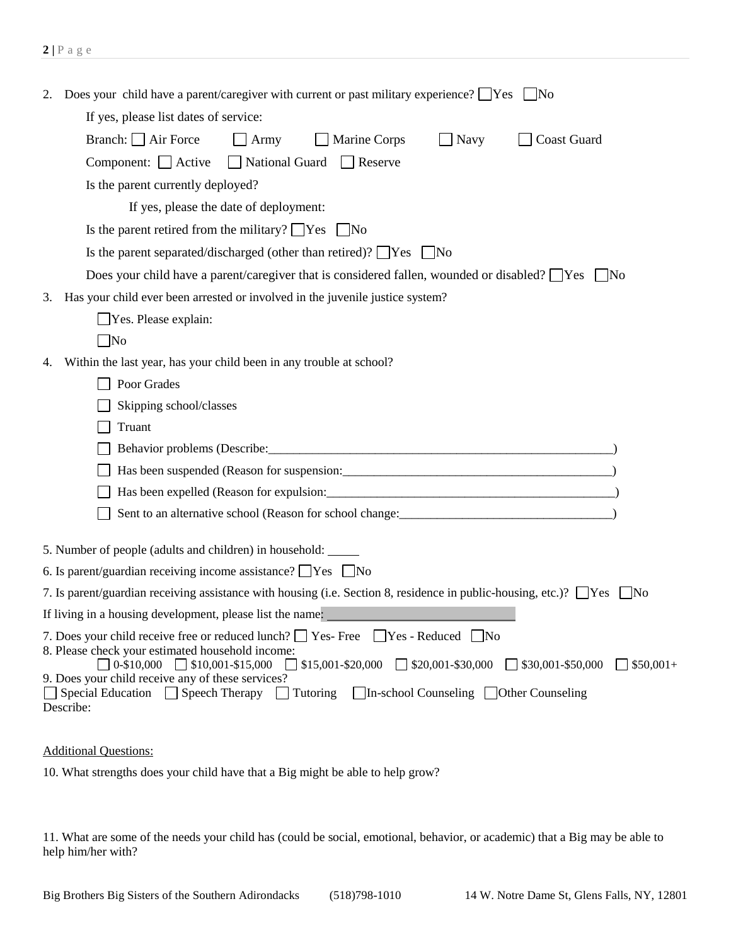| 2.                                                            | Does your child have a parent/caregiver with current or past military experience? $\Box$ Yes $\Box$ No                                                                                                                                                                             |  |  |  |  |  |  |
|---------------------------------------------------------------|------------------------------------------------------------------------------------------------------------------------------------------------------------------------------------------------------------------------------------------------------------------------------------|--|--|--|--|--|--|
|                                                               | If yes, please list dates of service:                                                                                                                                                                                                                                              |  |  |  |  |  |  |
|                                                               | Branch: $\Box$ Air Force<br>Coast Guard<br>$\Box$ Army<br>Marine Corps<br><b>Navy</b>                                                                                                                                                                                              |  |  |  |  |  |  |
|                                                               | Component: $\Box$ Active<br>■ National Guard ■ Reserve                                                                                                                                                                                                                             |  |  |  |  |  |  |
|                                                               | Is the parent currently deployed?                                                                                                                                                                                                                                                  |  |  |  |  |  |  |
|                                                               | If yes, please the date of deployment:                                                                                                                                                                                                                                             |  |  |  |  |  |  |
| Is the parent retired from the military? $\Box$ Yes $\Box$ No |                                                                                                                                                                                                                                                                                    |  |  |  |  |  |  |
|                                                               | Is the parent separated/discharged (other than retired)? $\Box$ Yes $\Box$ No                                                                                                                                                                                                      |  |  |  |  |  |  |
|                                                               | Does your child have a parent/caregiver that is considered fallen, wounded or disabled? $\Box$ Yes $\Box$ No                                                                                                                                                                       |  |  |  |  |  |  |
| 3.                                                            | Has your child ever been arrested or involved in the juvenile justice system?                                                                                                                                                                                                      |  |  |  |  |  |  |
|                                                               | Yes. Please explain:                                                                                                                                                                                                                                                               |  |  |  |  |  |  |
|                                                               | $\overline{\phantom{a}}$ No                                                                                                                                                                                                                                                        |  |  |  |  |  |  |
| 4.                                                            | Within the last year, has your child been in any trouble at school?                                                                                                                                                                                                                |  |  |  |  |  |  |
|                                                               | Poor Grades                                                                                                                                                                                                                                                                        |  |  |  |  |  |  |
|                                                               | Skipping school/classes                                                                                                                                                                                                                                                            |  |  |  |  |  |  |
|                                                               | Truant                                                                                                                                                                                                                                                                             |  |  |  |  |  |  |
|                                                               |                                                                                                                                                                                                                                                                                    |  |  |  |  |  |  |
|                                                               |                                                                                                                                                                                                                                                                                    |  |  |  |  |  |  |
|                                                               | Has been expelled (Reason for expulsion: 1997) (1998) (1998) (1998) (1998) (1998) (1998) (1998) (1998) (1999)                                                                                                                                                                      |  |  |  |  |  |  |
|                                                               |                                                                                                                                                                                                                                                                                    |  |  |  |  |  |  |
|                                                               | 5. Number of people (adults and children) in household: ______                                                                                                                                                                                                                     |  |  |  |  |  |  |
|                                                               | 6. Is parent/guardian receiving income assistance? $\Box$ Yes $\Box$ No                                                                                                                                                                                                            |  |  |  |  |  |  |
|                                                               | 7. Is parent/guardian receiving assistance with housing (i.e. Section 8, residence in public-housing, etc.)? $\Box$ Yes<br>$\sqrt{\phantom{a}}$ No                                                                                                                                 |  |  |  |  |  |  |
|                                                               | If living in a housing development, please list the name:                                                                                                                                                                                                                          |  |  |  |  |  |  |
|                                                               | 7. Does your child receive free or reduced lunch? Yes-Free<br>Yes - Reduced No<br>8. Please check your estimated household income:<br>$\Box$ 0-\$10,000 $\Box$ \$10,001-\$15,000<br>$\Box$ \$15,001-\$20,000<br>\$20,001-\$30,000<br>$\Box$ \$30,001-\$50,000<br>$\sqrt{$}50,001+$ |  |  |  |  |  |  |
|                                                               | 9. Does your child receive any of these services?<br>Special Education Speech Therapy Intoring In-school Counseling Inter Counseling<br>Describe:                                                                                                                                  |  |  |  |  |  |  |

Additional Questions:

10. What strengths does your child have that a Big might be able to help grow?

11. What are some of the needs your child has (could be social, emotional, behavior, or academic) that a Big may be able to help him/her with?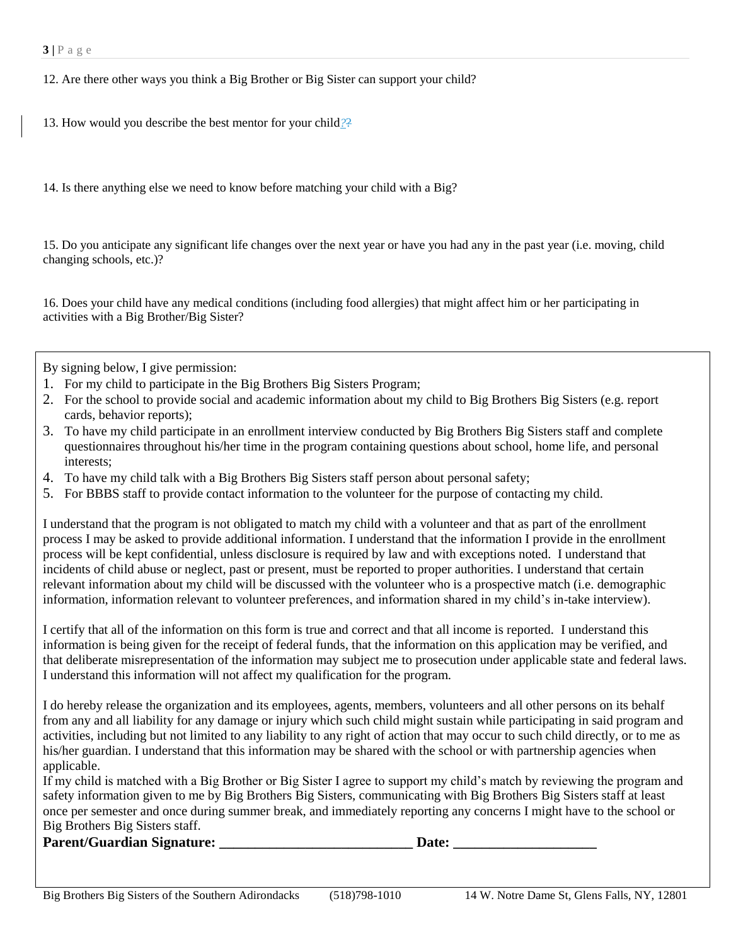12. Are there other ways you think a Big Brother or Big Sister can support your child?

13. How would you describe the best mentor for your child*?*?

14. Is there anything else we need to know before matching your child with a Big?

15. Do you anticipate any significant life changes over the next year or have you had any in the past year (i.e. moving, child changing schools, etc.)?

16. Does your child have any medical conditions (including food allergies) that might affect him or her participating in activities with a Big Brother/Big Sister?

By signing below, I give permission:

- 1. For my child to participate in the Big Brothers Big Sisters Program;
- 2. For the school to provide social and academic information about my child to Big Brothers Big Sisters (e.g. report cards, behavior reports);
- 3. To have my child participate in an enrollment interview conducted by Big Brothers Big Sisters staff and complete questionnaires throughout his/her time in the program containing questions about school, home life, and personal interests;
- 4. To have my child talk with a Big Brothers Big Sisters staff person about personal safety;
- 5. For BBBS staff to provide contact information to the volunteer for the purpose of contacting my child.

I understand that the program is not obligated to match my child with a volunteer and that as part of the enrollment process I may be asked to provide additional information. I understand that the information I provide in the enrollment process will be kept confidential, unless disclosure is required by law and with exceptions noted. I understand that incidents of child abuse or neglect, past or present, must be reported to proper authorities. I understand that certain relevant information about my child will be discussed with the volunteer who is a prospective match (i.e. demographic information, information relevant to volunteer preferences, and information shared in my child's in-take interview).

I certify that all of the information on this form is true and correct and that all income is reported. I understand this information is being given for the receipt of federal funds, that the information on this application may be verified, and that deliberate misrepresentation of the information may subject me to prosecution under applicable state and federal laws. I understand this information will not affect my qualification for the program.

I do hereby release the organization and its employees, agents, members, volunteers and all other persons on its behalf from any and all liability for any damage or injury which such child might sustain while participating in said program and activities, including but not limited to any liability to any right of action that may occur to such child directly, or to me as his/her guardian. I understand that this information may be shared with the school or with partnership agencies when applicable.

If my child is matched with a Big Brother or Big Sister I agree to support my child's match by reviewing the program and safety information given to me by Big Brothers Big Sisters, communicating with Big Brothers Big Sisters staff at least once per semester and once during summer break, and immediately reporting any concerns I might have to the school or Big Brothers Big Sisters staff.

**Parent/Guardian Signature: Date: Date:**